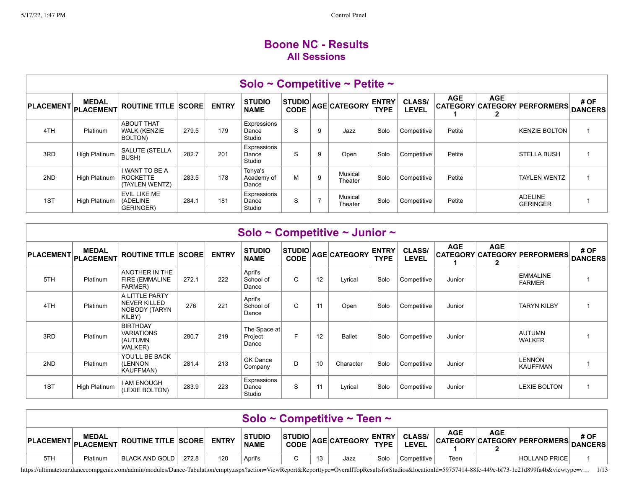## **Boone NC - Results All Sessions**

|                     |                      |                                                     |       |              |                                |                              |   | Solo ~ Competitive ~ Petite ~ |                             |                               |            |                 |                                   |                        |
|---------------------|----------------------|-----------------------------------------------------|-------|--------------|--------------------------------|------------------------------|---|-------------------------------|-----------------------------|-------------------------------|------------|-----------------|-----------------------------------|------------------------|
| PLACEMENT PLACEMENT | <b>MEDAL</b>         | <b>ROUTINE TITLE SCORE</b>                          |       | <b>ENTRY</b> | <b>STUDIO</b><br><b>NAME</b>   | <b>STUDIO</b><br><b>CODE</b> |   | AGE CATEGORY                  | <b>ENTRY</b><br><b>TYPE</b> | <b>CLASS/</b><br><b>LEVEL</b> | <b>AGE</b> | <b>AGE</b><br>2 | CATEGORY CATEGORY PERFORMERS      | # OF<br><b>DANCERS</b> |
| 4TH                 | Platinum             | <b>ABOUT THAT</b><br><b>WALK (KENZIE</b><br>BOLTON) | 279.5 | 179          | Expressions<br>Dance<br>Studio | S                            | 9 | Jazz                          | Solo                        | Competitive                   | Petite     |                 | <b>KENZIE BOLTON</b>              |                        |
| 3RD                 | <b>High Platinum</b> | <b>SALUTE (STELLA</b><br>BUSH)                      | 282.7 | 201          | Expressions<br>Dance<br>Studio | S                            | 9 | Open                          | Solo                        | Competitive                   | Petite     |                 | <b>STELLA BUSH</b>                |                        |
| 2ND                 | High Platinum        | I WANT TO BE A<br><b>ROCKETTE</b><br>(TAYLEN WENTZ) | 283.5 | 178          | Tonya's<br>Academy of<br>Dance | м                            | 9 | Musical<br>Theater            | Solo                        | Competitive                   | Petite     |                 | <b>TAYLEN WENTZ</b>               |                        |
| 1ST                 | High Platinum        | EVIL LIKE ME<br>(ADELINE<br><b>GERINGER)</b>        | 284.1 | 181          | Expressions<br>Dance<br>Studio | S                            |   | Musical<br>Theater            | Solo                        | Competitive                   | Petite     |                 | <b>ADELINE</b><br><b>GERINGER</b> |                        |

|                            |                      |                                                                  |       |              | Solo ~ Competitive ~ Junior ~         |                              |    |               |                             |                        |            |                            |                                |                        |
|----------------------------|----------------------|------------------------------------------------------------------|-------|--------------|---------------------------------------|------------------------------|----|---------------|-----------------------------|------------------------|------------|----------------------------|--------------------------------|------------------------|
| <b>PLACEMENT</b> PLACEMENT | <b>MEDAL</b>         | <b>ROUTINE TITLE SCORE</b>                                       |       | <b>ENTRY</b> | <b>STUDIO</b><br><b>NAME</b>          | <b>STUDIO</b><br><b>CODE</b> |    | AGE CATEGORY  | <b>ENTRY</b><br><b>TYPE</b> | <b>CLASS/</b><br>LEVEL | <b>AGE</b> | <b>AGE</b><br>$\mathbf{2}$ | CATEGORY CATEGORY PERFORMERS   | # OF<br><b>DANCERS</b> |
| 5TH                        | Platinum             | ANOTHER IN THE<br>FIRE (EMMALINE<br>FARMER)                      | 272.1 | 222          | April's<br>School of<br>Dance         | C                            | 12 | Lyrical       | Solo                        | Competitive            | Junior     |                            | <b>EMMALINE</b><br>FARMER      |                        |
| 4TH                        | Platinum             | A LITTLE PARTY<br><b>NEVER KILLED</b><br>NOBODY (TARYN<br>KILBY) | 276   | 221          | April's<br>School of<br>Dance         | C                            | 11 | Open          | Solo                        | Competitive            | Junior     |                            | <b>TARYN KILBY</b>             |                        |
| 3RD                        | Platinum             | <b>BIRTHDAY</b><br><b>VARIATIONS</b><br>(AUTUMN<br>WALKER)       | 280.7 | 219          | The Space at<br>Project<br>Dance      | F                            | 12 | <b>Ballet</b> | Solo                        | Competitive            | Junior     |                            | <b>AUTUMN</b><br><b>WALKER</b> |                        |
| 2ND                        | <b>Platinum</b>      | YOU'LL BE BACK<br>(LENNON<br><b>KAUFFMAN)</b>                    | 281.4 | 213          | <b>GK Dance</b><br>Company            | D                            | 10 | Character     | Solo                        | Competitive            | Junior     |                            | <b>LENNON</b><br>KAUFFMAN      |                        |
| 1ST                        | <b>High Platinum</b> | I AM ENOUGH<br>(LEXIE BOLTON)                                    | 283.9 | 223          | Expressions<br><b>Dance</b><br>Studio | S                            | 11 | Lyrical       | Solo                        | Competitive            | Junior     |                            | <b>LEXIE BOLTON</b>            |                        |

|     |                                                                                                                                                                                                                                                                                                                          |                       |       |     |         |   |  | Solo ~ Competitive ~ Teen ~ |      |             |      |  |                      |  |
|-----|--------------------------------------------------------------------------------------------------------------------------------------------------------------------------------------------------------------------------------------------------------------------------------------------------------------------------|-----------------------|-------|-----|---------|---|--|-----------------------------|------|-------------|------|--|----------------------|--|
|     | AGE<br><b>AGE</b><br><b>ENTRY</b><br># OF<br><b>CLASS/</b><br><b>MEDAL</b><br><b>STUDIO</b><br>$ \text{STUDIO} _{\text{AGE}} _{\text{CATEGORY}} $<br><b>ROUTINE TITLE SCORE ENTRY</b><br>PLACEMENT PLACEMENT NUU !!<br>CATEGORY CATEGORY PERFORMERS DANCERS<br><b>TYPE</b><br><b>NAME</b><br><b>CODE</b><br><b>LEVEL</b> |                       |       |     |         |   |  |                             |      |             |      |  |                      |  |
| 5TH | Platinum                                                                                                                                                                                                                                                                                                                 | <b>BLACK AND GOLD</b> | 272.8 | 120 | April's | ◡ |  | Jazz                        | Solo | Competitive | Teen |  | <b>HOLLAND PRICE</b> |  |

https://ultimatetour.dancecompgenie.com/admin/modules/Dance-Tabulation/empty.aspx?action=ViewReport&Reporttype=OverallTopResultsforStudios&locationId=59757414-88fc-449c-bf73-1e21d899fa4b&viewtype=v… 1/13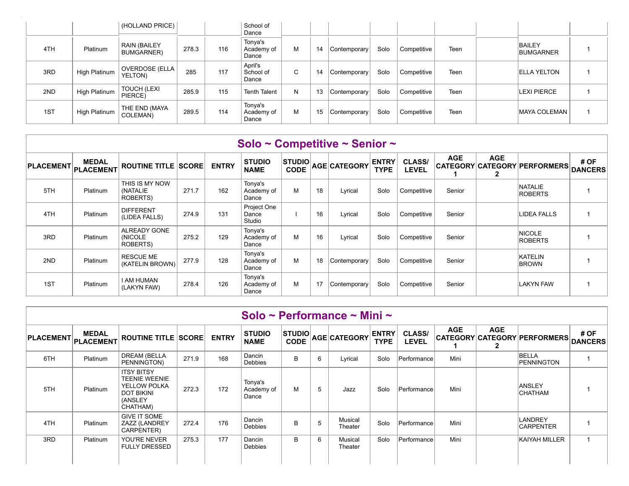|     |               | (HOLLAND PRICE)                          |       |     | School of<br>Dance             |   |    |              |      |             |      |                      |  |
|-----|---------------|------------------------------------------|-------|-----|--------------------------------|---|----|--------------|------|-------------|------|----------------------|--|
| 4TH | Platinum      | <b>RAIN (BAILEY</b><br><b>BUMGARNER)</b> | 278.3 | 116 | Tonya's<br>Academy of<br>Dance | M | 14 | Contemporary | Solo | Competitive | Teen | BAILEY<br>BUMGARNER  |  |
| 3RD | High Platinum | <b>OVERDOSE (ELLA</b><br>YELTON)         | 285   | 117 | April's<br>School of<br>Dance  | C | 14 | Contemporary | Solo | Competitive | Teen | <b>ELLA YELTON</b>   |  |
| 2ND | High Platinum | <b>TOUCH (LEXI</b><br>PIERCE)            | 285.9 | 115 | <b>Tenth Talent</b>            | N | 13 | Contemporary | Solo | Competitive | Teen | <b>LEXI PIERCE</b>   |  |
| 1ST | High Platinum | THE END (MAYA<br>COLEMAN)                | 289.5 | 114 | Tonya's<br>Academy of<br>Dance | M | 15 | Contemporary | Solo | Competitive | Teen | <b>IMAYA COLEMAN</b> |  |

|                  |                           |                                            |       |              |                                |                              |    | Solo ~ Competitive ~ Senior ~ |                             |                        |            |                     |                                 |                        |
|------------------|---------------------------|--------------------------------------------|-------|--------------|--------------------------------|------------------------------|----|-------------------------------|-----------------------------|------------------------|------------|---------------------|---------------------------------|------------------------|
| <b>PLACEMENT</b> | <b>MEDAL</b><br>PLACEMENT | <b>ROUTINE TITLE SCORE</b>                 |       | <b>ENTRY</b> | <b>STUDIO</b><br><b>NAME</b>   | <b>STUDIO</b><br><b>CODE</b> |    | AGE CATEGORY                  | <b>ENTRY</b><br><b>TYPE</b> | <b>CLASS/</b><br>LEVEL | <b>AGE</b> | AGE<br>$\mathbf{2}$ | CATEGORY CATEGORY PERFORMERS    | # OF<br><b>DANCERS</b> |
| 5TH              | Platinum                  | THIS IS MY NOW<br>(NATALIE)<br>ROBERTS)    | 271.7 | 162          | Tonya's<br>Academy of<br>Dance | M                            | 18 | Lyrical                       | Solo                        | Competitive            | Senior     |                     | NATALIE<br><b>ROBERTS</b>       |                        |
| 4TH              | Platinum                  | <b>DIFFERENT</b><br>(LIDEA FALLS)          | 274.9 | 131          | Project One<br>Dance<br>Studio |                              | 16 | Lyrical                       | Solo                        | Competitive            | Senior     |                     | LIDEA FALLS                     |                        |
| 3RD              | Platinum                  | <b>ALREADY GONE</b><br>(NICOLE<br>ROBERTS) | 275.2 | 129          | Tonya's<br>Academy of<br>Dance | M                            | 16 | Lyrical                       | Solo                        | Competitive            | Senior     |                     | <b>NICOLE</b><br><b>ROBERTS</b> |                        |
| 2ND              | Platinum                  | <b>RESCUE ME</b><br>(KATELIN BROWN)        | 277.9 | 128          | Tonya's<br>Academy of<br>Dance | M                            | 18 | Contemporary                  | Solo                        | Competitive            | Senior     |                     | KATELIN<br><b>BROWN</b>         |                        |
| 1ST              | Platinum                  | I AM HUMAN<br>(LAKYN FAW)                  | 278.4 | 126          | Tonya's<br>Academy of<br>Dance | M                            | 17 | Contemporary                  | Solo                        | Competitive            | Senior     |                     | <b>LAKYN FAW</b>                |                        |

|     |                                            |                                                                                                       |       |              |                                |                              |   | Solo ~ Performance ~ Mini ~ |                             |                               |            |                 |                                    |                        |
|-----|--------------------------------------------|-------------------------------------------------------------------------------------------------------|-------|--------------|--------------------------------|------------------------------|---|-----------------------------|-----------------------------|-------------------------------|------------|-----------------|------------------------------------|------------------------|
|     | <b>MEDAL</b><br><b>PLACEMENT</b> PLACEMENT | <b>ROUTINE TITLE SCORE</b>                                                                            |       | <b>ENTRY</b> | <b>STUDIO</b><br><b>NAME</b>   | <b>STUDIO</b><br><b>CODE</b> |   | AGE CATEGORY                | <b>ENTRY</b><br><b>TYPE</b> | <b>CLASS/</b><br><b>LEVEL</b> | <b>AGE</b> | <b>AGE</b><br>2 | CATEGORY CATEGORY PERFORMERS       | # OF<br><b>DANCERS</b> |
| 6TH | Platinum                                   | <b>DREAM (BELLA</b><br>PENNINGTON)                                                                    | 271.9 | 168          | Dancin<br>Debbies              | B                            | 6 | Lyrical                     | Solo                        | Performance                   | Mini       |                 | <b>BELLA</b><br><b>PENNINGTON</b>  |                        |
| 5TH | Platinum                                   | <b>ITSY BITSY</b><br><b>TEENIE WEENIE</b><br>YELLOW POLKA<br><b>DOT BIKINI</b><br>(ANSLEY<br>CHATHAM) | 272.3 | 172          | Tonya's<br>Academy of<br>Dance | М                            | 5 | Jazz                        | Solo                        | Performance                   | Mini       |                 | <b>ANSLEY</b><br><b>CHATHAM</b>    |                        |
| 4TH | Platinum                                   | <b>GIVE IT SOME</b><br>ZAZZ (LANDREY<br>CARPENTER)                                                    | 272.4 | 176          | Dancin<br><b>Debbies</b>       | B                            |   | Musical<br>Theater          | Solo                        | Performance                   | Mini       |                 | <b>LANDREY</b><br><b>CARPENTER</b> |                        |
| 3RD | Platinum                                   | YOU'RE NEVER<br><b>FULLY DRESSED</b>                                                                  | 275.3 | 177          | Dancin<br><b>Debbies</b>       | B                            | 6 | Musical<br>Theater          | Solo                        | Performance                   | Mini       |                 | KAIYAH MILLER                      |                        |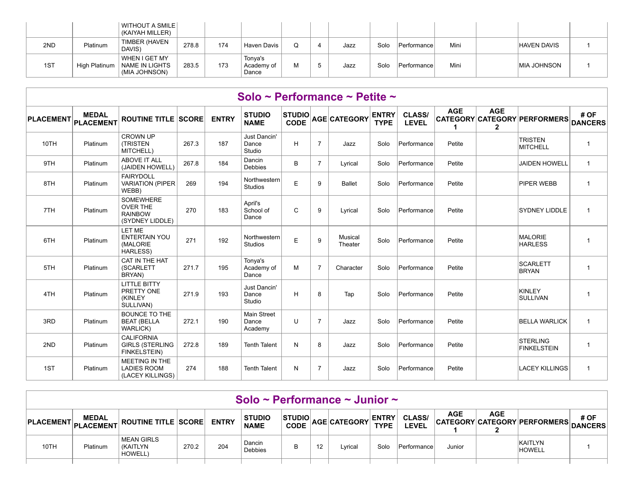|     |               | WITHOUT A SMILE  <br>(KAIYAH MILLER)               |       |     |                                |  |      |      |             |      |                    |  |
|-----|---------------|----------------------------------------------------|-------|-----|--------------------------------|--|------|------|-------------|------|--------------------|--|
| 2ND | Platinum      | TIMBER (HAVEN<br>DAVIS)                            | 278.8 | 174 | Haven Davis                    |  | Jazz | Solo | Performance | Mini | <b>HAVEN DAVIS</b> |  |
| 1ST | High Platinum | WHEN I GET MY<br>  NAME IN LIGHTS<br>(MIA JOHNSON) | 283.5 | 173 | Tonya's<br>Academy of<br>Dance |  | Jazz | Solo | Performance | Mini | IMIA JOHNSON       |  |

|           |                           |                                                                          |       |              |                                        |                              |                | Solo ~ Performance ~ Petite ~ |                             |                               |                 |                            |                                       |                        |
|-----------|---------------------------|--------------------------------------------------------------------------|-------|--------------|----------------------------------------|------------------------------|----------------|-------------------------------|-----------------------------|-------------------------------|-----------------|----------------------------|---------------------------------------|------------------------|
| PLACEMENT | <b>MEDAL</b><br>PLACEMENT | <b>ROUTINE TITLE SCORE</b>                                               |       | <b>ENTRY</b> | <b>STUDIO</b><br><b>NAME</b>           | <b>STUDIO</b><br><b>CODE</b> |                | <b>AGE CATEGORY</b>           | <b>ENTRY</b><br><b>TYPE</b> | <b>CLASS/</b><br><b>LEVEL</b> | <b>AGE</b><br>1 | <b>AGE</b><br>$\mathbf{2}$ | CATEGORY CATEGORY PERFORMERS          | # OF<br><b>DANCERS</b> |
| 10TH      | Platinum                  | <b>CROWN UP</b><br><b>(TRISTEN)</b><br>MITCHELL)                         | 267.3 | 187          | Just Dancin'<br>Dance<br>Studio        | H                            | $\overline{7}$ | Jazz                          | Solo                        | Performance                   | Petite          |                            | <b>TRISTEN</b><br><b>MITCHELL</b>     | $\mathbf{1}$           |
| 9TH       | Platinum                  | <b>ABOVE IT ALL</b><br>(JAIDEN HOWELL)                                   | 267.8 | 184          | Dancin<br><b>Debbies</b>               | B                            | $\overline{7}$ | Lyrical                       | Solo                        | Performance                   | Petite          |                            | <b>JAIDEN HOWELL</b>                  | $\mathbf{1}$           |
| 8TH       | Platinum                  | <b>FAIRYDOLL</b><br><b>VARIATION (PIPER</b><br>WEBB)                     | 269   | 194          | Northwestern<br><b>Studios</b>         | Е                            | 9              | <b>Ballet</b>                 | Solo                        | Performance                   | Petite          |                            | <b>PIPER WEBB</b>                     | $\mathbf{1}$           |
| 7TH       | Platinum                  | <b>SOMEWHERE</b><br><b>OVER THE</b><br><b>RAINBOW</b><br>(SYDNEY LIDDLE) | 270   | 183          | April's<br>School of<br>Dance          | $\mathsf{C}$                 | 9              | Lyrical                       | Solo                        | Performance                   | Petite          |                            | <b>SYDNEY LIDDLE</b>                  | $\mathbf{1}$           |
| 6TH       | Platinum                  | LET ME<br><b>ENTERTAIN YOU</b><br>(MALORIE<br><b>HARLESS)</b>            | 271   | 192          | Northwestern<br><b>Studios</b>         | E                            | 9              | Musical<br>Theater            | Solo                        | Performance                   | Petite          |                            | <b>MALORIE</b><br><b>HARLESS</b>      | $\mathbf{1}$           |
| 5TH       | Platinum                  | CAT IN THE HAT<br>(SCARLETT<br>BRYAN)                                    | 271.7 | 195          | Tonya's<br>Academy of<br>Dance         | м                            | $\overline{7}$ | Character                     | Solo                        | Performance                   | Petite          |                            | <b>SCARLETT</b><br><b>BRYAN</b>       | $\mathbf{1}$           |
| 4TH       | Platinum                  | <b>LITTLE BITTY</b><br>PRETTY ONE<br>(KINLEY<br>SULLIVAN)                | 271.9 | 193          | Just Dancin'<br>Dance<br>Studio        | H                            | 8              | Tap                           | Solo                        | Performance                   | Petite          |                            | <b>KINLEY</b><br><b>SULLIVAN</b>      | $\mathbf{1}$           |
| 3RD       | Platinum                  | <b>BOUNCE TO THE</b><br><b>BEAT (BELLA</b><br><b>WARLICK)</b>            | 272.1 | 190          | <b>Main Street</b><br>Dance<br>Academy | U                            | $\overline{7}$ | Jazz                          | Solo                        | Performance                   | Petite          |                            | <b>BELLA WARLICK</b>                  | $\mathbf{1}$           |
| 2ND       | Platinum                  | <b>CALIFORNIA</b><br><b>GIRLS (STERLING</b><br><b>FINKELSTEIN)</b>       | 272.8 | 189          | <b>Tenth Talent</b>                    | N                            | 8              | Jazz                          | Solo                        | Performance                   | Petite          |                            | <b>STERLING</b><br><b>FINKELSTEIN</b> | $\mathbf{1}$           |
| 1ST       | Platinum                  | <b>MEETING IN THE</b><br><b>LADIES ROOM</b><br>(LACEY KILLINGS)          | 274   | 188          | <b>Tenth Talent</b>                    | N                            | $\overline{7}$ | Jazz                          | Solo                        | Performance                   | Petite          |                            | <b>LACEY KILLINGS</b>                 | $\mathbf{1}$           |

|      |          |                                                  |       |     |                              |                              |    | Solo ~ Performance ~ Junior ~ |                             |                               |            |            |                                      |      |
|------|----------|--------------------------------------------------|-------|-----|------------------------------|------------------------------|----|-------------------------------|-----------------------------|-------------------------------|------------|------------|--------------------------------------|------|
|      |          | PLACEMENT PLACEMENT ROUTINE TITLE SCORE ENTRY    |       |     | <b>STUDIO</b><br><b>NAME</b> | <b>STUDIO</b><br><b>CODE</b> |    | AGE CATEGORY                  | <b>ENTRY</b><br><b>TYPE</b> | <b>CLASS/</b><br><b>LEVEL</b> | <b>AGE</b> | <b>AGE</b> | CATEGORY CATEGORY PERFORMERS DANCERS | # OF |
| 10TH | Platinum | <b>MEAN GIRLS</b><br><b>(KAITLYN)</b><br>HOWELL) | 270.2 | 204 | Dancin<br>Debbies            | B                            | 12 | Lvrical                       | Solo                        | Performance                   | Junior     |            | KAITLYN<br><b>HOWELL</b>             |      |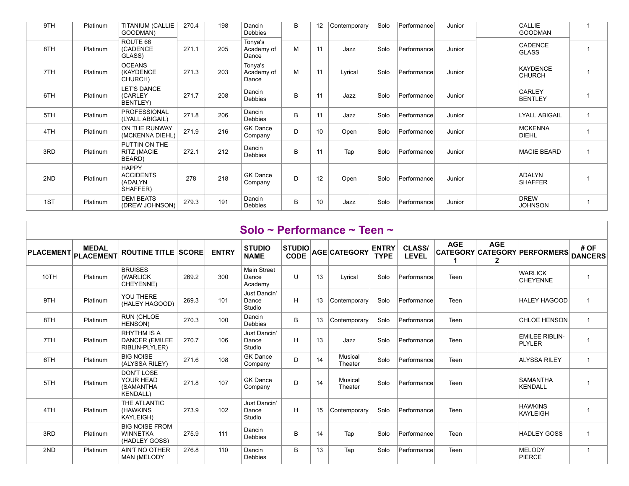| 9TH | Platinum | TITANIUM (CALLIE<br>GOODMAN)                            | 270.4 | 198 | Dancin<br><b>Debbies</b>       | B  | 12 | Contemporary | Solo | Performance | Junior | <b>CALLIE</b><br><b>GOODMAN</b>  |                |
|-----|----------|---------------------------------------------------------|-------|-----|--------------------------------|----|----|--------------|------|-------------|--------|----------------------------------|----------------|
| 8TH | Platinum | ROUTE 66<br>(CADENCE<br>GLASS)                          | 271.1 | 205 | Tonya's<br>Academy of<br>Dance | м  | 11 | Jazz         | Solo | Performance | Junior | <b>CADENCE</b><br><b>GLASS</b>   |                |
| 7TH | Platinum | <b>OCEANS</b><br><b>(KAYDENCE)</b><br>CHURCH)           | 271.3 | 203 | Tonya's<br>Academy of<br>Dance | м  | 11 | Lyrical      | Solo | Performance | Junior | <b>KAYDENCE</b><br><b>CHURCH</b> |                |
| 6TH | Platinum | <b>LET'S DANCE</b><br>(CARLEY<br>BENTLEY)               | 271.7 | 208 | Dancin<br><b>Debbies</b>       | B  | 11 | Jazz         | Solo | Performance | Junior | <b>CARLEY</b><br><b>BENTLEY</b>  |                |
| 5TH | Platinum | <b>PROFESSIONAL</b><br>(LYALL ABIGAIL)                  | 271.8 | 206 | Dancin<br><b>Debbies</b>       | B  | 11 | Jazz         | Solo | Performance | Junior | LYALL ABIGAIL                    | $\overline{1}$ |
| 4TH | Platinum | ON THE RUNWAY<br>(MCKENNA DIEHL)                        | 271.9 | 216 | <b>GK Dance</b><br>Company     | D  | 10 | Open         | Solo | Performance | Junior | <b>MCKENNA</b><br><b>DIEHL</b>   |                |
| 3RD | Platinum | PUTTIN ON THE<br><b>RITZ (MACIE</b><br>BEARD)           | 272.1 | 212 | Dancin<br><b>Debbies</b>       | B  | 11 | Tap          | Solo | Performance | Junior | <b>MACIE BEARD</b>               |                |
| 2ND | Platinum | <b>HAPPY</b><br><b>ACCIDENTS</b><br>(ADALYN<br>SHAFFER) | 278   | 218 | <b>GK Dance</b><br>Company     | D. | 12 | Open         | Solo | Performance | Junior | <b>ADALYN</b><br><b>SHAFFER</b>  |                |
| 1ST | Platinum | <b>DEM BEATS</b><br>(DREW JOHNSON)                      | 279.3 | 191 | Dancin<br><b>Debbies</b>       | B  | 10 | Jazz         | Solo | Performance | Junior | <b>DREW</b><br><b>JOHNSON</b>    |                |

|                     |              |                                                                       |       |              |                                 |                              |    | Solo ~ Performance ~ Teen ~ |                             |                               |                 |                              |                                   |                        |
|---------------------|--------------|-----------------------------------------------------------------------|-------|--------------|---------------------------------|------------------------------|----|-----------------------------|-----------------------------|-------------------------------|-----------------|------------------------------|-----------------------------------|------------------------|
| PLACEMENT PLACEMENT | <b>MEDAL</b> | <b>ROUTINE TITLE SCORE</b>                                            |       | <b>ENTRY</b> | <b>STUDIO</b><br><b>NAME</b>    | <b>STUDIO</b><br><b>CODE</b> |    | AGE CATEGORY                | <b>ENTRY</b><br><b>TYPE</b> | <b>CLASS/</b><br><b>LEVEL</b> | <b>AGE</b><br>1 | <b>AGE</b><br>$\overline{2}$ | CATEGORY CATEGORY PERFORMERS      | # OF<br><b>DANCERS</b> |
| 10TH                | Platinum     | <b>BRUISES</b><br>(WARLICK<br>CHEYENNE)                               | 269.2 | 300          | Main Street<br>Dance<br>Academy | U                            | 13 | Lyrical                     | Solo                        | Performance                   | Teen            |                              | <b>WARLICK</b><br><b>CHEYENNE</b> | $\mathbf 1$            |
| 9TH                 | Platinum     | YOU THERE<br>(HALEY HAGOOD)                                           | 269.3 | 101          | Just Dancin'<br>Dance<br>Studio | H                            | 13 | Contemporary                | Solo                        | Performance                   | Teen            |                              | <b>HALEY HAGOOD</b>               | $\overline{1}$         |
| 8TH                 | Platinum     | RUN (CHLOE<br>HENSON)                                                 | 270.3 | 100          | Dancin<br><b>Debbies</b>        | B                            | 13 | Contemporary                | Solo                        | Performance                   | Teen            |                              | <b>CHLOE HENSON</b>               | $\mathbf{1}$           |
| 7TH                 | Platinum     | <b>RHYTHM IS A</b><br><b>DANCER (EMILEE</b><br>RIBLIN-PLYLER)         | 270.7 | 106          | Just Dancin'<br>Dance<br>Studio | H                            | 13 | Jazz                        | Solo                        | Performance                   | Teen            |                              | <b>EMILEE RIBLIN-</b><br>PLYLER   | $\overline{1}$         |
| 6TH                 | Platinum     | <b>BIG NOISE</b><br>(ALYSSA RILEY)                                    | 271.6 | 108          | <b>GK Dance</b><br>Company      | D                            | 14 | Musical<br>Theater          | Solo                        | Performance                   | Teen            |                              | <b>ALYSSA RILEY</b>               | $\mathbf{1}$           |
| 5TH                 | Platinum     | <b>DON'T LOSE</b><br>YOUR HEAD<br><b>(SAMANTHA</b><br><b>KENDALL)</b> | 271.8 | 107          | <b>GK</b> Dance<br>Company      | D                            | 14 | Musical<br>Theater          | Solo                        | Performance                   | Teen            |                              | <b>SAMANTHA</b><br><b>KENDALL</b> | $\mathbf{1}$           |
| 4TH                 | Platinum     | THE ATLANTIC<br>(HAWKINS<br><b>KAYLEIGH)</b>                          | 273.9 | 102          | Just Dancin'<br>Dance<br>Studio | H                            | 15 | Contemporary                | Solo                        | Performance                   | Teen            |                              | <b>HAWKINS</b><br><b>KAYLEIGH</b> | $\overline{1}$         |
| 3RD                 | Platinum     | <b>BIG NOISE FROM</b><br><b>WINNETKA</b><br>(HADLEY GOSS)             | 275.9 | 111          | Dancin<br><b>Debbies</b>        | B                            | 14 | Tap                         | Solo                        | Performance                   | Teen            |                              | <b>HADLEY GOSS</b>                | $\mathbf{1}$           |
| 2ND                 | Platinum     | AIN'T NO OTHER<br><b>MAN (MELODY</b>                                  | 276.8 | 110          | Dancin<br><b>Debbies</b>        | B                            | 13 | Tap                         | Solo                        | Performance                   | Teen            |                              | <b>MELODY</b><br>PIERCE           | $\mathbf{1}$           |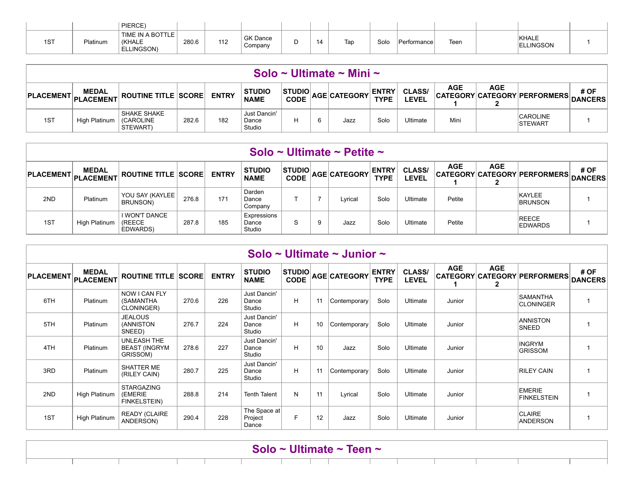|     |          | DIEDOE<br>−n∪∟                                       |       |                |                                 |        |     |      |           |      |                  |  |
|-----|----------|------------------------------------------------------|-------|----------------|---------------------------------|--------|-----|------|-----------|------|------------------|--|
| 1ST | Platinum | TIME IN A BOTTLE L<br><b>(KHALE</b><br><b>INGSON</b> | 280.6 | <br>$\sqrt{2}$ | <sup>o</sup> K Dance<br>Company | -<br>ш | Tap | Solo | rformance | Teer | KHALE<br>LINGSON |  |

|     |                                                                                                                                                                                                                                                                                                                                                     |                                                           |       |     |                                 |  |  | Solo ~ Ultimate ~ Mini ~ |      |          |      |  |                                   |  |
|-----|-----------------------------------------------------------------------------------------------------------------------------------------------------------------------------------------------------------------------------------------------------------------------------------------------------------------------------------------------------|-----------------------------------------------------------|-------|-----|---------------------------------|--|--|--------------------------|------|----------|------|--|-----------------------------------|--|
|     | <b>AGE</b><br><b>AGE</b><br># OF<br><b>ENTRY</b><br><b>CLASS/</b><br><b>STUDIO</b><br><b>STUDIO</b><br><b>MEDAL</b><br>AGE CATEGORY<br>$\left \texttt{PLACEMENT}\right $ $\left \texttt{PLACEMENT}\right $ ROUTINE TITLE SCORE<br>CATEGORY CATEGORY PERFORMERS DANCERS<br><b>ENTRY</b><br><b>TYPE</b><br><b>LEVEL</b><br><b>CODE</b><br><b>NAME</b> |                                                           |       |     |                                 |  |  |                          |      |          |      |  |                                   |  |
| 1ST | High Platinum                                                                                                                                                                                                                                                                                                                                       | <b>SHAKE SHAKE</b><br><b><i>(CAROLINE</i></b><br>STEWART) | 282.6 | 182 | Just Dancin'<br>Dance<br>Studio |  |  | Jazz                     | Solo | Ultimate | Mini |  | <b>CAROLINE</b><br><b>STEWART</b> |  |

|                                  |               |                                     |       |              |                                |                              |   | Solo ~ Ultimate ~ Petite ~ |                             |                               |            |            |                              |                        |
|----------------------------------|---------------|-------------------------------------|-------|--------------|--------------------------------|------------------------------|---|----------------------------|-----------------------------|-------------------------------|------------|------------|------------------------------|------------------------|
| PLACEMENT PLACEMENT <sup>I</sup> | <b>MEDAL</b>  | <b>ROUTINE TITLE SCORE</b>          |       | <b>ENTRY</b> | <b>STUDIO</b><br><b>NAME</b>   | <b>STUDIO</b><br><b>CODE</b> |   | AGE CATEGORY               | <b>ENTRY</b><br><b>TYPE</b> | <b>CLASS/</b><br><b>LEVEL</b> | <b>AGE</b> | <b>AGE</b> | CATEGORY CATEGORY PERFORMERS | # OF<br><b>DANCERS</b> |
| 2ND                              | Platinum      | YOU SAY (KAYLEE)<br><b>BRUNSON)</b> | 276.8 | 171          | Darden<br>Dance<br>Company     |                              |   | Lyrical                    | Solo                        | Ultimate                      | Petite     |            | KAYLEE<br><b>BRUNSON</b>     |                        |
| 1ST                              | High Platinum | I WON'T DANCE<br>(REECE<br>EDWARDS) | 287.8 | 185          | Expressions<br>Dance<br>Studio | S                            | 9 | Jazz                       | Solo                        | Ultimate                      | Petite     |            | REECE<br><b>EDWARDS</b>      |                        |

|     |                                            |                                                 |       |              |                                        |                              |    | Solo ~ Ultimate ~ Junior ~ |                             |                               |            |                            |                                     |                        |
|-----|--------------------------------------------|-------------------------------------------------|-------|--------------|----------------------------------------|------------------------------|----|----------------------------|-----------------------------|-------------------------------|------------|----------------------------|-------------------------------------|------------------------|
|     | <b>MEDAL</b><br><b>PLACEMENT</b> PLACEMENT | <b>ROUTINE TITLE SCORE</b>                      |       | <b>ENTRY</b> | <b>STUDIO</b><br><b>NAME</b>           | <b>STUDIO</b><br><b>CODE</b> |    | AGE CATEGORY               | <b>ENTRY</b><br><b>TYPE</b> | <b>CLASS/</b><br><b>LEVEL</b> | <b>AGE</b> | <b>AGE</b><br>$\mathbf{2}$ | CATEGORY CATEGORY PERFORMERS        | # OF<br><b>DANCERS</b> |
| 6TH | Platinum                                   | NOW I CAN FLY<br>(SAMANTHA<br>CLONINGER)        | 270.6 | 226          | Just Dancin'<br><b>Dance</b><br>Studio | H                            | 11 | Contemporary               | Solo                        | Ultimate                      | Junior     |                            | <b>SAMANTHA</b><br><b>CLONINGER</b> |                        |
| 5TH | Platinum                                   | <b>JEALOUS</b><br>(ANNISTON<br>SNEED)           | 276.7 | 224          | Just Dancin'<br>Dance<br>Studio        | H                            | 10 | Contemporary               | Solo                        | Ultimate                      | Junior     |                            | ANNISTON<br><b>SNEED</b>            |                        |
| 4TH | Platinum                                   | UNLEASH THE<br><b>BEAST (INGRYM</b><br>GRISSOM) | 278.6 | 227          | Just Dancin'<br>Dance<br>Studio        | H                            | 10 | Jazz                       | Solo                        | Ultimate                      | Junior     |                            | <b>INGRYM</b><br><b>GRISSOM</b>     |                        |
| 3RD | Platinum                                   | SHATTER ME<br>(RILEY CAIN)                      | 280.7 | 225          | Just Dancin'<br>Dance<br>Studio        | H                            | 11 | Contemporary               | Solo                        | Ultimate                      | Junior     |                            | <b>RILEY CAIN</b>                   | -1                     |
| 2ND | High Platinum                              | <b>STARGAZING</b><br>(EMERIE<br>FINKELSTEIN)    | 288.8 | 214          | <b>Tenth Talent</b>                    | N                            | 11 | Lyrical                    | Solo                        | Ultimate                      | Junior     |                            | <b>EMERIE</b><br><b>FINKELSTEIN</b> | 1                      |
| 1ST | <b>High Platinum</b>                       | <b>READY (CLAIRE</b><br>ANDERSON)               | 290.4 | 228          | The Space at<br>Project<br>Dance       | F                            | 12 | Jazz                       | Solo                        | Ultimate                      | Junior     |                            | <b>CLAIRE</b><br><b>ANDERSON</b>    |                        |

| Ultimate $\sim$ Teen $\sim$<br>Solo $\sim$ l |  |  |  |  |  |  |  |  |  |  |  |  |  |  |
|----------------------------------------------|--|--|--|--|--|--|--|--|--|--|--|--|--|--|
|                                              |  |  |  |  |  |  |  |  |  |  |  |  |  |  |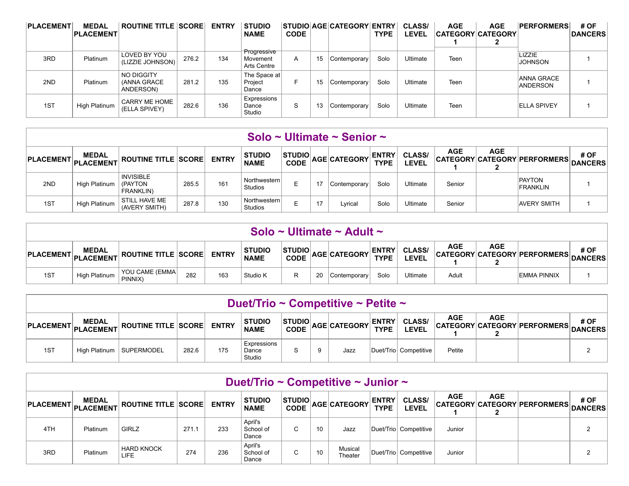| <b>PLACEMENT</b> | <b>MEDAL</b><br><b>PLACEMENT</b> | <b>ROUTINE TITLE SCORE</b>             |       | <b>ENTRY</b> | <b>STUDIO</b><br><b>NAME</b>           | <b>CODE</b> |    | STUDIO AGE CATEGORY ENTRY | <b>TYPE</b> | <b>CLASS/</b><br><b>LEVEL</b> | AGE<br><b>CATEGORY CATEGORY</b> | AGE | <b>PERFORMERS</b>                    | # OF<br><b>DANCERS</b> |
|------------------|----------------------------------|----------------------------------------|-------|--------------|----------------------------------------|-------------|----|---------------------------|-------------|-------------------------------|---------------------------------|-----|--------------------------------------|------------------------|
| 3RD              | Platinum                         | LOVED BY YOU<br>(LIZZIE JOHNSON)       | 276.2 | 134          | Progressive<br>Movement<br>Arts Centre | A           | 15 | Contemporary              | Solo        | Ultimate                      | Teen                            |     | LIZZIE<br><b>JOHNSON</b>             |                        |
| 2ND              | Platinum                         | NO DIGGITY<br>(ANNA GRACE<br>ANDERSON) | 281.2 | 135          | The Space at<br>Project<br>Dance       |             | 15 | Contemporary              | Solo        | Ultimate                      | Teen                            |     | <b>ANNA GRACE</b><br><b>ANDERSON</b> |                        |
| 1ST              | High Platinum                    | <b>CARRY ME HOME</b><br>(ELLA SPIVEY)  | 282.6 | 136          | Expressions<br>Dance<br>Studio         | S           | 13 | Contemporary              | Solo        | Ultimate                      | Teen                            |     | <b>ELLA SPIVEY</b>                   |                        |

|                                                                                                                                                                                                                                                                                             |                      |                                                  |       |     |                         |   |    | Solo ~ Ultimate ~ Senior ~ |      |          |        |  |                                  |                        |
|---------------------------------------------------------------------------------------------------------------------------------------------------------------------------------------------------------------------------------------------------------------------------------------------|----------------------|--------------------------------------------------|-------|-----|-------------------------|---|----|----------------------------|------|----------|--------|--|----------------------------------|------------------------|
| <b>AGE</b><br><b>AGE</b><br><b>CLASS/</b><br><b>STUDIO</b><br><b>STUDIO</b><br><b>ENTRY</b><br><b>MEDAL</b><br>' AGE CATEGORY <br>ROUTINE TITLE SCORE<br>PLACEMENT PLACEMENT F<br><b>ENTRY</b><br>CATEGORY CATEGORY PERFORMERS<br><b>TYPE</b><br><b>LEVEL</b><br><b>CODE</b><br><b>NAME</b> |                      |                                                  |       |     |                         |   |    |                            |      |          |        |  |                                  | # OF<br><b>DANCERS</b> |
| 2ND                                                                                                                                                                                                                                                                                         | High Platinum        | <b>INVISIBLE</b><br>(PAYTON<br><b>FRANKLIN</b> ) | 285.5 | 161 | Northwestern<br>Studios | Ε | 17 | Contemporary               | Solo | Ultimate | Senior |  | <b>PAYTON</b><br><b>FRANKLIN</b> |                        |
| 1ST                                                                                                                                                                                                                                                                                         | <b>High Platinum</b> | STILL HAVE ME<br>(AVERY SMITH)                   | 287.8 | 130 | Northwestern<br>Studios | F | 17 | Lyrical                    | Solo | Ultimate | Senior |  | <b>AVERY SMITH</b>               |                        |

|     |                                                                                                                                                                                                                                                                                                                                         |                           |     |     |          |   |    | Solo ~ Ultimate ~ Adult ~ |      |          |       |  |                    |  |
|-----|-----------------------------------------------------------------------------------------------------------------------------------------------------------------------------------------------------------------------------------------------------------------------------------------------------------------------------------------|---------------------------|-----|-----|----------|---|----|---------------------------|------|----------|-------|--|--------------------|--|
|     | <b>AGE</b><br><b>AGE</b><br># OF<br><b>CLASS/</b><br><b>ENTRY</b><br>TYPE<br><b>STUDIO</b><br>$ \text{STUDIO} _{\text{AGE}} _{\text{CATEGORY}} $<br><b>MEDAL</b><br>$ $ ROUTINE TITLE $ {\tt SCORE} $<br><b>ENTRY</b><br>CATEGORY CATEGORY PERFORMERS DANCERS<br>PLACEMENT PLACEMENT KULL<br><b>LEVEL</b><br><b>CODE</b><br><b>NAME</b> |                           |     |     |          |   |    |                           |      |          |       |  |                    |  |
| 1ST | High Platinum                                                                                                                                                                                                                                                                                                                           | YOU CAME (EMMA<br>PINNIX) | 282 | 163 | Studio K | R | 20 | Contemporary              | Solo | Ultimate | Adult |  | <b>EMMA PINNIX</b> |  |

|     |              |                                                                                      |       |     |                                |             |   | Duet/Trio ~ Competitive ~ Petite ~                 |       |                               |            |            |                                      |      |
|-----|--------------|--------------------------------------------------------------------------------------|-------|-----|--------------------------------|-------------|---|----------------------------------------------------|-------|-------------------------------|------------|------------|--------------------------------------|------|
|     | <b>MEDAL</b> | $ \texttt{PLACEMENT} $ $ \texttt{PLACEMENT} $ routine title $ \texttt{SCORE} $ entry |       |     | <b>STUDIO</b><br><b>NAME</b>   | <b>CODE</b> |   | $ \text{STUDIO} _{\text{AGE}} _{\text{CATEGORY}} $ | ENTRY | <b>CLASS/</b><br><b>LEVEL</b> | <b>AGE</b> | <b>AGE</b> | CATEGORY CATEGORY PERFORMERS DANCERS | # OF |
| 1ST |              | High Platinum   SUPERMODEL                                                           | 282.6 | 175 | Expressions<br>Dance<br>Studio |             | 9 | Jazz                                               |       | Duet/Triol Competitive        | Petite     |            |                                      |      |

|     |              |                                         |       |              |                               |                              |    | Duet/Trio ~ Competitive ~ Junior ~ |                             |                               |            |            |                                      |      |
|-----|--------------|-----------------------------------------|-------|--------------|-------------------------------|------------------------------|----|------------------------------------|-----------------------------|-------------------------------|------------|------------|--------------------------------------|------|
|     | <b>MEDAL</b> | PLACEMENT PLACEMENT ROUTINE TITLE SCORE |       | <b>ENTRY</b> | <b>STUDIO</b><br><b>NAME</b>  | <b>STUDIO</b><br><b>CODE</b> |    | AGE CATEGORY                       | <b>ENTRY</b><br><b>TYPE</b> | <b>CLASS/</b><br><b>LEVEL</b> | <b>AGE</b> | <b>AGE</b> | CATEGORY CATEGORY PERFORMERS DANCERS | # OF |
| 4TH | Platinum     | <b>GIRLZ</b>                            | 271.7 | 233          | April's<br>School of<br>Dance | C                            | 10 | Jazz                               |                             | Duet/Trio Competitive         | Junior     |            |                                      |      |
| 3RD | Platinum     | <b>HARD KNOCK</b><br><b>LIFE</b>        | 274   | 236          | April's<br>School of<br>Dance | C                            | 10 | Musical<br>Theater                 |                             | Duet/Trio Competitive         | Junior     |            |                                      |      |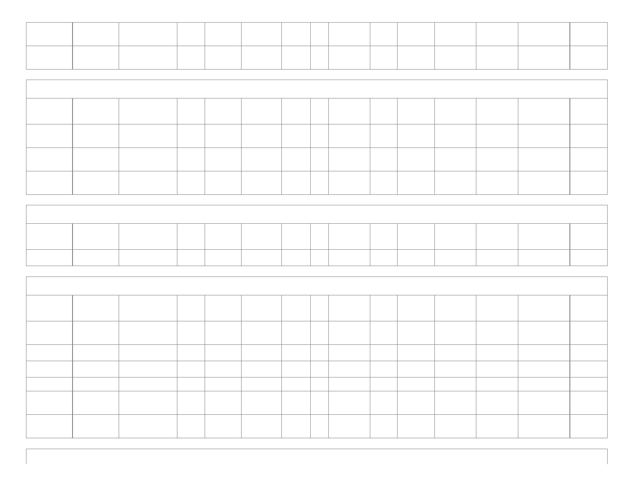| $\sim$ | 3 O D W L Q X P 9 (5 |                                                        |  | \$SULO V<br>6 F K R R O R I &<br>'DOFH |  |  | 2 SHQ   XHWU L7&RPSHW LW-LXYQHLRU |  |  |
|--------|----------------------|--------------------------------------------------------|--|----------------------------------------|--|--|-----------------------------------|--|--|
| 67     |                      | $+$ L J K 3 O D W 2 Q X5 F $\frac{1}{9}$ , 6 ( 0 ( 8 3 |  | 7RQ(DV)<br>SFDGHP\RIO<br>'DQFH         |  |  | /\ULFD OXHWUL7&RPSHWLW-LXYQHLRU   |  |  |

|    |                                   |  |                                        |  | 'XHWUDR a & RPSHWLWLYH a 6HQLRU a                 |  |                                  |  |  |
|----|-----------------------------------|--|----------------------------------------|--|---------------------------------------------------|--|----------------------------------|--|--|
|    |                                   |  |                                        |  |                                                   |  |                                  |  |  |
| 5' | $30DWLQ$ $82/2$ : 0<<br>$35.176$  |  | 7RQ \D V<br><b>SFDGHP\RIO</b><br>'DOFH |  |                                                   |  | /\ULFD OXHWUL7&RPSHWLW6LHYOHLR U |  |  |
| 1' | $30DWLQ$ $\frac{29}{5}$ , 17+(    |  | 3URMHFW 2QH<br>'DQFH<br>6WXGLR         |  | 2 S H Q                                           |  | 'XHWU DRRPSHWLW6LHYOHLRU         |  |  |
| 67 | $30DWLQ$ $8Q^3$ $($ \$ $1, *$ + 7 |  | 3URMHFW 2QH<br>'DQFH<br>6WXGLR         |  | & R Q W H P S'R UI DWULT&R P S H W L W6LHYOHL RIU |  |                                  |  |  |

|    |                                                                                                                                                                                                                                                                                                                          |  |                   |  | 'XHWUIZR a 3HUIRUPDQFH a OLQL a |  |                               |  |  |
|----|--------------------------------------------------------------------------------------------------------------------------------------------------------------------------------------------------------------------------------------------------------------------------------------------------------------------------|--|-------------------|--|---------------------------------|--|-------------------------------|--|--|
|    | $3/ \$\& (0(17_3)_{\$ \& (0(17)}_{9}) \& (0(18)_{\$ \& (0(17)}_{9}) \& (0(17)_{\$ \& (0(17)_{\$}) \& (0(17)_{\$ \& (0(17)_{\$})}) \& (0(17)_{\$ \& (0(17)_{\$ \& (0(17)_{\$ \& (0(17)_{\$ \& (0(17)_{\$ \& (0(17)_{\$ \& (0(17)_{\$ \& (0(17)_{\$ \& (0(17)_{\$ \& (0(17)_{\$ \& (0(17)_{\$ \& (0(17)_{\$ \& (0(17)_{\$$ |  |                   |  |                                 |  |                               |  |  |
| 67 | + L J K * R $0.65$ (8 2 < 5, (1 $ $ 6                                                                                                                                                                                                                                                                                    |  | 'DQFLQ<br>'HEELHV |  | $-D$ ]]                         |  | 'XHWU   Z3RHUIRU PID Q BIHQ L |  |  |

|                |             |                                                                                                                                                                                                                                                                                                                                     |  |                                    |      | 'XHWUIR a 3HUIRUPDQFH a 3HWLWH a |  |                                        |  |  |
|----------------|-------------|-------------------------------------------------------------------------------------------------------------------------------------------------------------------------------------------------------------------------------------------------------------------------------------------------------------------------------------|--|------------------------------------|------|----------------------------------|--|----------------------------------------|--|--|
|                |             | $3/ \$\& (0(17_3) \$\& (0(17_5) 5287, 1(7,7) 6(825) (175 \times 96.25) (175 \times 10^{-10}) ) )\, \times \left[\begin{array}{c c c c c c c c c} 678', & 2 & 678', & 2 & 678', & 2 & 678' \\ 1 & 50 & 6 & 82' & 6 & 7 & 2 & 67 \\ 8 & 2 & 6 & 6 & 7 & 2 & 67 \end{array}\right] \qquad \left[\begin{array}{c c c c c} 2, & 2 & 2 &$ |  |                                    |      |                                  |  |                                        |  |  |
| $7 +$          |             | $30DWLQ$ $$P/$ , $77/($B7$                                                                                                                                                                                                                                                                                                          |  | -XVW 'DQFLQ<br>'DQFH<br>6WXGLR     |      | $-D11$                           |  | 'XHWL LZRHUIRUPDQ3FHHWLWH              |  |  |
| $7 +$          | 30DWLQX287( |                                                                                                                                                                                                                                                                                                                                     |  | 1 R U W K Z H V W H U Q<br>6WXGLRV |      | $-D$ ]]                          |  | 'XHWL L73RHUIRU PDQ3FHHWLW.H           |  |  |
| $7 +$          |             | $30DWLQX27 + 27 + 27$                                                                                                                                                                                                                                                                                                               |  | 'DQFLQ<br>'HEELHV                  | $\%$ | 7D S                             |  | 'XHWU L73RHUIRU PDQ3FHHWLWH            |  |  |
| $5^{\circ}$    |             | $30DW LQX (N, 11 * 5229)$                                                                                                                                                                                                                                                                                                           |  | $6WXGLR$ . 5                       |      |                                  |  | /\ULFD OXHWULZ3RHUIRUPDQ3FHHWLWH       |  |  |
| 1 <sup>1</sup> |             | 3 O D W L Q X B 0 % 2                                                                                                                                                                                                                                                                                                               |  | -XVW 'DQFLQ<br>'DQFH<br>6WXGLR     |      | 7D S                             |  | 'X H WU L73RH U IR U IP DO 3FHHW L W H |  |  |
| 67             |             | $30DWLQXB/.$ :, 7+ 0(                                                                                                                                                                                                                                                                                                               |  | -XVW 'DQFLQ<br>'DQFH<br>6WXGLR     |      |                                  |  | /\ULFD OXHWULZ3RHUIRUPDQ3FHHWLWH       |  |  |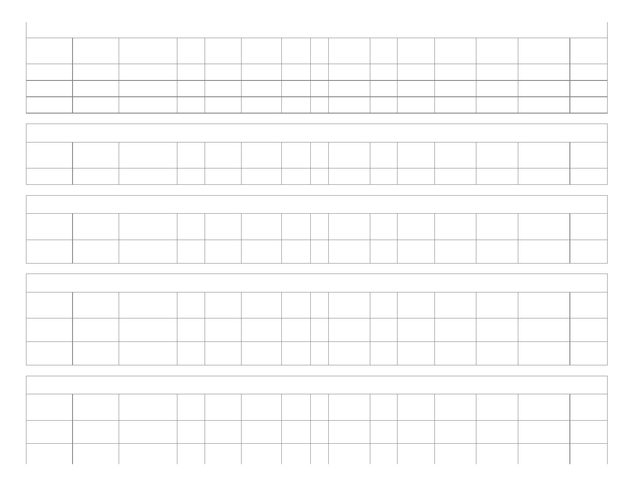## 'XHWUDR a 3HUIRUPDQFH a - XQLRU a  $8/566$ <br>  $\begin{array}{|c|c|c|c|c|c|}\n\hline\n8 & 666 & 856 & 856 & 856 & 256 & 366 & 266 & 266 \\
\hline\n1 & 9 & 1 & 8 & 16 & 16 & 166 \\
\hline\n10 & 10 & 10 & 10 & 16 & 16 & 16\n\end{array}$  $678', 2 | 678', 2$ <br>1\$0(82'(8\*(8\$7(\*25) 3/\$&(0(1)  $3/\frac{6}{3}\frac{15}{8}(0)(1)$  5287, 1(7,  $\frac{1}{8}(825)$  (175  $(175x$ <br> $7 < 3()$  $'DRC$  $5$  '  $30DWLQXP$ , (, 7  $\%$  $+LS$  +  $R$ SXHWU  $Z$ 33HUIRUPDQ-EXHQLRU 'HEELHV 'DQFLQ  $30DWLQ$  %R < 21' 7 + (6 (\$  $1^+$  $\%$ 7D S 'XHWL Z3RHUIRU PDQ-FXHQLRU 'HEELHV 'DQFLQ  $30DWLQX.P($ ,  $/29($  < 28  $\%$  $+LS$  +  $R$ SXHWU  $Z$ 3RHUIRU  $\frac{1}{2}$ DQ-PXHQLRU 67 'HEELHV

|    |                                                                                                                                                                                                                                                                                                                           |  |                        |  | 'XHWUIZR a 3HUIRU <b>PIBIQ</b> FaH a 7 |  |                        |  |  |
|----|---------------------------------------------------------------------------------------------------------------------------------------------------------------------------------------------------------------------------------------------------------------------------------------------------------------------------|--|------------------------|--|----------------------------------------|--|------------------------|--|--|
|    | $3/ \$\& (0(17_3)_{\$}\& (0(17_5)_{\$})_{\$}\& (0(17_7)_{\$})_{\$}\& (0(17_7)_{\$})_{\$}\& (0(17_7)_{\$})_{\$}\& (17_7)_{\$}\& (17_7)_{\$}\& (17_7)_{\$}\& (17_7)_{\$}\& (17_7)_{\$}\& (17_7)_{\$}\& (17_7)_{\$}\& (17_7)_{\$}\& (17_7)_{\$}\& (17_7)_{\$}\& (17_7)_{\$}\& (17_7)_{\$}\& (17_7)_{\$}\& (17_7)_{\$}\& (17$ |  |                        |  |                                        |  |                        |  |  |
| 67 | $30DWLQ$ $R_{\odot}$ $0 < 150$ (                                                                                                                                                                                                                                                                                          |  | 'DQFH<br>& R P S D Q N |  | 7D S                                   |  | 'XHWUL73RHUIRUPDQ7FHHQ |  |  |

|    |                    |                                                                                                                                                                   |  |                                |  | 'XHWUDR a 8OWLPDWH a -XQLRU a |  |                                                |  |  |
|----|--------------------|-------------------------------------------------------------------------------------------------------------------------------------------------------------------|--|--------------------------------|--|-------------------------------|--|------------------------------------------------|--|--|
|    |                    | $3/$ 8 (0 (173) $8/$ 0('\$/<br>3/\$&(0(175287,1(7,76(&25)<br>430( 175x) $8/$ 3(56)<br>420(8\$7(*25x) 857(*25x)<br>430(56)<br>420(8\$7(*25x)<br>430(59)<br>430(59) |  |                                |  |                               |  |                                                |  |  |
| 67 | $30DW LQXP7 / 2$ : |                                                                                                                                                                   |  | -XVW 'DQFLQ<br>'DQFH<br>6WXGLR |  |                               |  | + L S + R S X H WU IZR8 O W L P D W HX Q L R U |  |  |

|      |                 |                                                                                                                                                                                                                                                                                                          |  |                                 |   | 'XHWUDR a 80WLHPHDQWaH a 7                                |  |                         |  |  |
|------|-----------------|----------------------------------------------------------------------------------------------------------------------------------------------------------------------------------------------------------------------------------------------------------------------------------------------------------|--|---------------------------------|---|-----------------------------------------------------------|--|-------------------------|--|--|
|      |                 | $3/$ 8 (0 (173/)<br>3/8 (0 (175287,1(7,76825)(175287,117,76825)(1752)<br>150 (1752/)<br>150 (1752/)<br>87 (1752/)<br>7-30 (1752/)<br>7-31 (1752/)<br>190 (1857 ( <i>25</i> )<br>87 ( <i>25</i> )<br>87 ( <i>25</i> )<br>87 ( <i>25</i> )<br>87 ( <i>25</i> )<br>87 ( <i>25</i> )<br>87 ( <i>25</i> )<br> |  |                                 |   |                                                           |  |                         |  |  |
| $-1$ |                 | +LJK 30D $\sqrt{258}$ P <sup>12:6</sup>                                                                                                                                                                                                                                                                  |  | (SUHVVLRQV)<br>'DOFH<br>6WXGLR  |   | $-D11$                                                    |  | 'XHWU L7R8 OWLPIDWFAHHQ |  |  |
| 67   | +LJK 3ODW&1Q*XP |                                                                                                                                                                                                                                                                                                          |  | (ISUHVVLRQV)<br>'DQFH<br>6WXGLR | 6 | & R Q W H P S' <b>K U DILL</b> IX R 8 O W L P D W FAH H Q |  |                         |  |  |

|       |                                                                                                                     |                                     |      |                      |  |                                                                       | 6PDOO *URXS a &RPSHWLWLYH a 3HWLWH a |  |
|-------|---------------------------------------------------------------------------------------------------------------------|-------------------------------------|------|----------------------|--|-----------------------------------------------------------------------|--------------------------------------|--|
|       | $3/$ 8(0(173/\\$8(0(175287,1(7,\{6825\} (1755/1675\,678',2\{678\} (175\,87)^{2})))                                  |                                     |      |                      |  |                                                                       |                                      |  |
| 5'    | $30DWLQX/P$ , 1 $*$ 2                                                                                               | 7RQ \D V<br><b>SFDGHPY</b><br>'DOFH | R 10 |                      |  | + LS + RS $_{\text{HIR}}$ $_{\text{N}}$ $_{\text{N}}$ RPS HWLW3LWWLWH |                                      |  |
|       | $30D W L Q$ \$ $B$ \$ = , 1 $*$ 6 $\neq$ , (                                                                        | 7RQ/DV<br><b>SFDGHPY</b>            | R I  | 7 K H D W H UU R X S |  | 0 X V L F D O 6 P D O & R P S H W L W 3 H W L W H                     |                                      |  |
| KWWSV | XCSWDDFFDHWFRHWSRUXHLOLH FRP DOFELXCODPWRLGBX400SHHWPDSREWMSNLERSORRUW 5HSRURWSSWHSHXC2WMHURDUOGOW7XGLRV ORFDWLRQ.G |                                     |      |                      |  |                                                                       |                                      |  |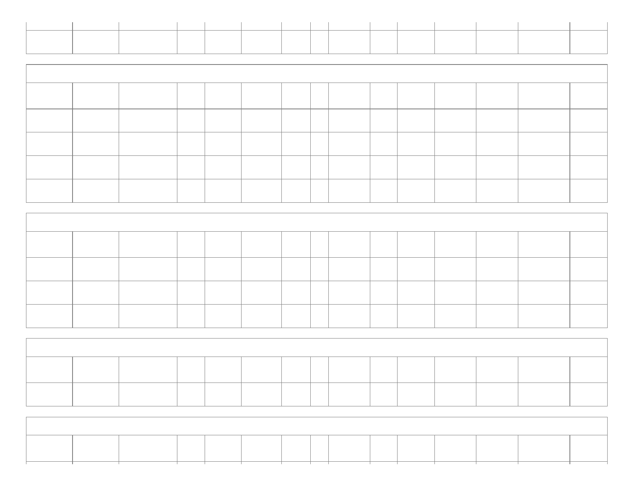|    |                              | 'DQFH                                  |  |  |                                                           |  |  |
|----|------------------------------|----------------------------------------|--|--|-----------------------------------------------------------|--|--|
| 67 | $30DWLQ_{8521}^{+1}$ $35.64$ | 7RQ \D V<br><b>SFDGHP\RIO</b><br>'DQFH |  |  | $\sqrt{U L F D} O^6 P D \Phi Q R P S H W L W 3 H W L W H$ |  |  |

|                |                                                                                                                                                                                                                                                                       |  |                                |  |         |  |                                                                          | 6PDOO *URXS a &RPSHWLWLYH a -XQLRU a |  |
|----------------|-----------------------------------------------------------------------------------------------------------------------------------------------------------------------------------------------------------------------------------------------------------------------|--|--------------------------------|--|---------|--|--------------------------------------------------------------------------|--------------------------------------|--|
|                | $3/3 \& (0.173)(18) \put(0.175287,1.778) \put(0.175287,1.778) \put(0.17527,1.778) \put(0.17527,1.778) \put(0.17527,1.778) \put(0.17527,1.778) \put(0.17527,1.778) \put(0.17527,1.778) \put(0.17527,1.778) \put(0.17527,1.778) \put(0.17527,1.778) \put(0.17527,1.778$ |  |                                |  |         |  |                                                                          |                                      |  |
| $7 +$          | + L J K $*$ R $\overline{)8G1}$ ' (5'2 $*$                                                                                                                                                                                                                            |  | \$SULO V<br>6FKRRORI&<br>'DQFH |  |         |  | 7DS   <sup>6 PDO</sup> QRPSHWLW-LXYQHRU                                  |                                      |  |
| 5'             | $30DWLQXF$ , (1'6                                                                                                                                                                                                                                                     |  | \$SULO V<br>6FKRRORI&<br>'DQFH |  |         |  | $k$ KDUDFWHYXXRPSHWLW-LXXXXLRU                                           |                                      |  |
| 1 <sup>1</sup> | $30DWLQX_{25}^{1.6}$ $30DWLQX_{25}^{1.6}$                                                                                                                                                                                                                             |  | \$SULO V<br>6FKRRORI&<br>'DQFH |  |         |  | + LS + RS $_{\text{HIR}}$ $_{\text{N}}$ $_{\text{N}}$ RPS HW LW-LXXXH RU |                                      |  |
| 67             | $: + $77 + ($<br>3 O D W L Q X 2P 5 / ' 1 ( ( ' 6<br>12: , 6 / 29(                                                                                                                                                                                                    |  | \$SULO V<br>6FKRRORI&<br>'DQFH |  | $2$ SHQ |  | <sup>6</sup> PDOQRPSHWLW-LXYQHLRU                                        |                                      |  |

|                |                    |                                                                                       |  |                                        |  | 6PDOO *URXS a &RPHSHHQVbWLYH a 7 |  |                                                                        |  |  |
|----------------|--------------------|---------------------------------------------------------------------------------------|--|----------------------------------------|--|----------------------------------|--|------------------------------------------------------------------------|--|--|
|                |                    | $3/ \$\& (0.173)_{3/ \$\& (0.175287,1(-7,76)(1825)(1755))_{1\$0} (175)(1758)_{1\$2'}$ |  |                                        |  |                                  |  |                                                                        |  |  |
| 5'             |                    | 30DWLQXB51Z621(                                                                       |  | $TRQ \ D \ V$<br>SFDGHP\RIO<br>'DQFH   |  |                                  |  | $\sqrt{U L F D} O_{* L I R X}^{6 P D Q} R P S H W L W E H H Q$         |  |  |
| 1 <sup>1</sup> | $30DWLQX/R$ \$ \$< |                                                                                       |  | , Q OR W L R Q<br>'DQFH<br>& H Q W H U |  |                                  |  | $-D$ ]] $\begin{array}{c} 6PDQQRPSHWLWHQ \ \star$ URXS RPSHWLW THATHIQ |  |  |
| 67             |                    | 30DWLQXP;7Z < 28                                                                      |  | Q ORWLRQ<br>'DOFH<br>& H Q W H U       |  |                                  |  | $\wedge$ ULFDO $_{*11R}^{6P}D^{0Q}_{*}RP$ SHWLWEHYHHQ                  |  |  |

|    |                                                      |  |                                          |  |                                 |  |  | 6PDOO *URXS a &RPSHWLWLYH a 6HQLRU a |  |
|----|------------------------------------------------------|--|------------------------------------------|--|---------------------------------|--|--|--------------------------------------|--|
|    |                                                      |  |                                          |  |                                 |  |  |                                      |  |
| 67 | $30DWLQ\cancel{\&}P7(1 \frac{2}{9} % 5 \frac{11}{9}$ |  | 7RQ \D V  <br><b>SFDGHP\RIO</b><br>'DQFH |  | │&RQWHPSRº{}QQ}&RPSHWLW@HY@HLRU |  |  |                                      |  |

|       |                                                                                                                         |  |  |  |  |  | 6PDOO *URXS a 3HUIRUPDQFH a \$OO \$JHV a |  |
|-------|-------------------------------------------------------------------------------------------------------------------------|--|--|--|--|--|------------------------------------------|--|
|       |                                                                                                                         |  |  |  |  |  |                                          |  |
| KWWSV | XCSWDDFFDHWFRHWSRUXHLQLH FRP DOFELXCODPWRLGBXKOOSHNYPDSREWMSNLERENG7S9RUW 5HSRLRWS6WHSVHXCXWMNURDLOGOW7XGLRV ORFDWLRQ,G |  |  |  |  |  |                                          |  |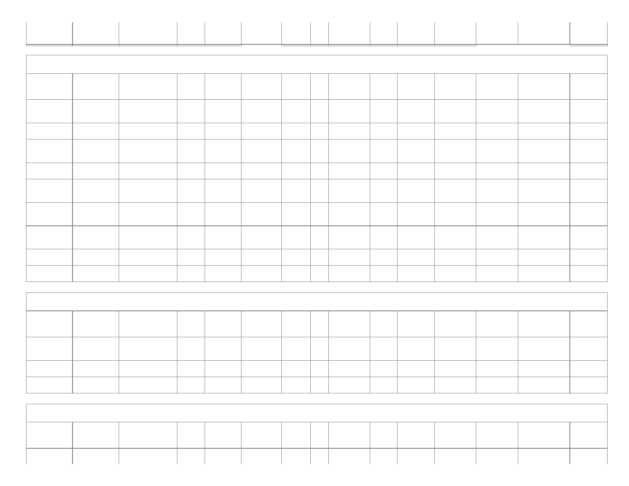| 67          |                                 | + L J K * R $D/G^*$ + 7 2 ) 7 + (<br>: 25/                     |  | SHUIRUPDDQLFOH 6 WUH8HW<br>'DQFH<br>\$FDGHP' |      |                              | $*$ URXS | /\ULFDO6PDO\$DHUIRUPDQDD6 \$JHV                              |  |  |
|-------------|---------------------------------|----------------------------------------------------------------|--|----------------------------------------------|------|------------------------------|----------|--------------------------------------------------------------|--|--|
|             |                                 |                                                                |  | 6 P D O O                                    |      | *URXS a 3HUIRUPDQFH a OLQL a |          |                                                              |  |  |
|             |                                 | 3/\$&(0(1) $\frac{0(^{6}S)}{3/88(0(175287,1(7,76825)(1755)))}$ |  | $678', 2$<br>1 $$0($                         |      |                              |          |                                                              |  |  |
| $7 +$       |                                 | $+$ LJK $*$ R $0$ CGS $*$ , & $+$ \$33(1 6                     |  | -XVW 'DQFLQ<br>'DQFH<br>6WXGLR               |      | 7D <sub>S</sub>              |          | SPDOO<br>*URXSHUIRUPDQBHQL                                   |  |  |
| $7 +$       |                                 | $25$ \ $$$<br>+ L J K * R $0\frac{858, 8, 6, 1}{858, 6, 1}$    |  | 'DQFLQ<br>'HEELHV                            | %    | 7D <sub>S</sub>              |          | SPDOOHUIRUPDQBHQL                                            |  |  |
| $7 +$       | $+$ LJK $*$ R $O$ ) $\otimes$ 1 |                                                                |  | -XVW 'DQFLQ<br>'DQFH<br>6WXGLR               |      | $-D$ ]]                      |          | 6PDOO<br>*URXSHUIRUPDQBHQL                                   |  |  |
| $7 +$       |                                 | $+$ LJK $*$ R $D$ % (\$87, ) 8/7+, 1*                          |  | 'DQFLQ<br>'HEELHV                            | %    |                              |          | $\wedge \text{ULFD}$                                         |  |  |
| $7 +$       |                                 | +LJK *R $0.6(1' 0(210)$                                        |  | -XVW 'DQFLQ<br>'DQFH<br>6WXGLR               |      |                              |          | $\wedge$ ULFDO $\circ$ <sup>6</sup> PDØ $\circ$ HUIRUPDQBHQL |  |  |
| $7+$        |                                 | $+$ LJK $*$ R $06$ 783.' & 83.'                                |  | 7RQ\D V<br>\$FDCHP<br>'DQFH                  | R 10 | $-D$ ]]                      |          | 6 P D O O<br>*U R X S H U I R U P D Q B H Q L                |  |  |
| 5'          |                                 | $30DWLQXP9(6+$8.$                                              |  | ODLQ 6WUHHW<br>'DQFH<br>\$FDGHP'             | 8    | $-D$ ]]                      |          | SPDOOHUIRUPDQBHQL                                            |  |  |
| $1^{\circ}$ |                                 | $30DW L Q$ $P$ 7 + ( + 23                                      |  | 'DQFLQ<br>'HEELHV                            | $\%$ | 7D <sub>S</sub>              |          | SPDOOHUIRUPDQBHQL                                            |  |  |
| 67          | $30DW L Q$ & \$P57 <            |                                                                |  | 'DQFLQ<br>'HEELHV                            | $\%$ | $-D$ ]]                      |          | SPDOOHUIRUPDQBHQL                                            |  |  |

|                |                         |                                               |  |                                           |      |                 |  |                                                                                                                                                                                                                                 | 6PDOO *URXS a 3HUIRUPDQFH a 3HWLWH a |  |
|----------------|-------------------------|-----------------------------------------------|--|-------------------------------------------|------|-----------------|--|---------------------------------------------------------------------------------------------------------------------------------------------------------------------------------------------------------------------------------|--------------------------------------|--|
|                |                         |                                               |  |                                           |      |                 |  |                                                                                                                                                                                                                                 |                                      |  |
| 5'             |                         | $30DWLQ\chi_{(3.65}^{+, *}$ 5 /,77/(          |  | $7RQ \ D V$<br><b>SFDGHP\RIO</b><br>'DQFH |      |                 |  | $\left[ \begin{array}{c} 6 \text{ } P \text{ } D \text{ } Q \text{ } Q \text{ } H \text{ } U \text{ } R \text{ } U \text{ } P \text{ } D \text{ } Q \text{ } H \text{ } W \text{ } L \text{ } W \text{ } H \end{array} \right]$ |                                      |  |
| 1 <sup>1</sup> | $30DWLQ$ $R$ $R$ $5.$ ( |                                               |  | $'DCFLQ$<br>$'HEELHV$                     | $\%$ | $-D$ ]]         |  | ᠖₧₯₯<br><sub>*</sub> URXISHUIRUℙDQ <del>JFIH</del> WLWH                                                                                                                                                                         |                                      |  |
| 67             |                         | 30DWLQ $\frac{\%}{\%8\,*}/(\frac{.22}{\%2<})$ |  | $'DQFLQ$<br>$'HEELHV$                     | $\%$ | 7D <sub>S</sub> |  | 6 P D Φ Ω H U I R U P D Q 3FHHW L W H                                                                                                                                                                                           |                                      |  |

|       |                                                                                                                        |                                                    |  |  |                              |  |  |  |       |  |                                 |  | 6PDOO *URXS a 3HUIRUPDQFH a -XQLRU a |  |
|-------|------------------------------------------------------------------------------------------------------------------------|----------------------------------------------------|--|--|------------------------------|--|--|--|-------|--|---------------------------------|--|--------------------------------------|--|
|       |                                                                                                                        | $3/3 \& (0.173)(18)(10)(175287,1(-7.76825)(1755))$ |  |  |                              |  |  |  |       |  |                                 |  |                                      |  |
| $7 +$ |                                                                                                                        | $30DWLQ$ $R$ $R$ $523$                             |  |  | 6ROH ,PSDFW<br>6 W X G L R V |  |  |  | *URXS |  | +LS +RS6PDO)\$OHUIRUPDQ-PXHQLRU |  |                                      |  |
| KWWSV | XCCWDDFDHWFRHWSRUXHLOLH FRP DOFELXODDWRLGBXWOSHHWPOSPEWMONLERSIORRUW 5HSRURWSSWHSHXCYWHURDUOGOWYXGLRV ORFDWLRQ,G<br>ķΕ |                                                    |  |  |                              |  |  |  |       |  |                                 |  |                                      |  |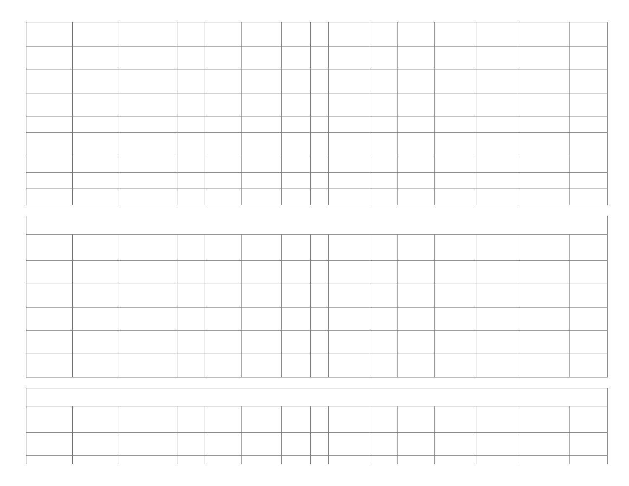KWWSV XOSWODPFDHWFRFARAHUQLHF RP DODELXOOD™MRLGBXKOOSH†N°PDS#BWOHLNEMB1G7S9RUW 5HSRURWSWHSYHXO2WMUNPOLOGOW7XGLRV ORFDWLRQ,G

|                |                                                                                                                                                                                                                                                                       |  |                                      |  |        |  |                                                                                        | 6PDOO *URXS a 3HUIRUPDQFH a 6HQLRU a |    |
|----------------|-----------------------------------------------------------------------------------------------------------------------------------------------------------------------------------------------------------------------------------------------------------------------|--|--------------------------------------|--|--------|--|----------------------------------------------------------------------------------------|--------------------------------------|----|
|                | $3/3 \& (0.173)(3 \& (0.175287,1177) \& (0.175287,1177) \& (0.1756)(1.1758) \& (0.1756)(1.1758) \& (0.1756)(1.1758) \& (0.1756)(1.1758) \& (0.1756)(1.1758) \& (0.1756)(1.1758) \& (0.1756)(1.1758) \& (0.1756)(1.1758) \& (0.1756)(1.1758) \& (0.1756)(1.1758) \& ($ |  |                                      |  |        |  |                                                                                        |                                      |    |
| 4 <sup>1</sup> | $30DWLQ_{29}^{169(5)/(70)}$                                                                                                                                                                                                                                           |  | Q OR W L R Q<br>'DQFH<br>& H Q W H U |  |        |  | $\sqrt{U LFD}$ $O_{*LIR}^{6PD}$ $O_{*LIR}^{O}$ $N_S^{3}$ H U I R U $P$ D Q6 FH Q L R U |                                      |    |
| 67             | 3 O D W L Q X \$P% 8 / 2 8 6                                                                                                                                                                                                                                          |  | $Q$ ORWLRQ <sup>*</sup>              |  | $-D11$ |  | 6 P D Q \$OH U I R U IP D Q6FH+Q L R U                                                 |                                      |    |
| K W W S V      | X @GWDFDHWFRLDARDHIOLH FRP DONFLAXOODDWRLGDKWORHHNDDSAMWAHLFARDASARIUW 5HSRIRWS-WHAN-HASYKYOWN-HIDDOGOWYXGIRVORFDWIRO.G                                                                                                                                               |  |                                      |  |        |  |                                                                                        |                                      | ķΕ |

| $7 +$          | $3 \, \text{OD} \, \text{W} \, \text{L} \, \text{Q} \, \text{W} \, \text{B}$ : + , 7 ( . ( < 6) | 'DQFH<br>$6$ W X G L R               | 7D S                        |  | $\lambda$ <sub>UR</sub> $\lambda$ $\lambda$ <sup>3</sup> HUIRUPDQ <del>7HH</del> Q                    |  |  |
|----------------|-------------------------------------------------------------------------------------------------|--------------------------------------|-----------------------------|--|-------------------------------------------------------------------------------------------------------|--|--|
| $7+$           | 30DWLQX.PY'202)21                                                                               | -XVW 'DQFLQ<br>'DQFH<br>6WXGLR       | $ $ &RQWHPSRHAWRUIRUPDQ7HHQ |  |                                                                                                       |  |  |
| 5'             | 30DW LQ A B ((1 %))                                                                             | Q OR W L R Q<br>'DOFH<br>& H Q W H U | $-D$ ]]                     |  | $\begin{array}{c} \begin{array}{c} \end{array}$ 6 P D $\varphi$ O $\downarrow$ H U I R U P D Q TH H Q |  |  |
| 1 <sup>1</sup> | $30DWLQ_{8}^{26}Q_{0}^{37/10}$                                                                  | Q OR W L R Q<br>'DOFH<br>& H Q W H U |                             |  | $\wedge$ ULFDO $_{*11R}^{6P}$ DO $_{*}^{6P}$ HUIRUPDQ7HHQ                                             |  |  |
| 67             | $30DW L Q \times P$ . (, 7                                                                      | -XVW 'DQFLQ<br>'DQFH<br>6WXGLR       | $-D$ ]]                     |  | 6 P D Φ O<br>∗∪ R X S H U I R U P D Q <del>71 I I</del> Q                                             |  |  |

|                |                          |                                                                                               |  |                                           |                | 6PDOO *URXS a 3HUHHUPDQFH a 7 |  |                                                                                                                                                                                                       |                                                                                                                                                                                                                                                                                                                                                                                                                                                                          |  |
|----------------|--------------------------|-----------------------------------------------------------------------------------------------|--|-------------------------------------------|----------------|-------------------------------|--|-------------------------------------------------------------------------------------------------------------------------------------------------------------------------------------------------------|--------------------------------------------------------------------------------------------------------------------------------------------------------------------------------------------------------------------------------------------------------------------------------------------------------------------------------------------------------------------------------------------------------------------------------------------------------------------------|--|
|                |                          | $3/$ \$ & (0(1 $\frac{0}{3/$ \$ & (0(1 $\frac{5}{2}$ ) 5287, 1(7, $\frac{1}{4}$ 6(& 25)(175<) |  |                                           |                |                               |  |                                                                                                                                                                                                       | $\left \begin{array}{cc} 678',2 & 678',\frac{1}{2}\$^* ( \end{array}\right. \!\!\!\right  \left.\begin{array}{c} 8\,\sqrt{5} \\ 8\,\sqrt{5} \end{array}\right  \left \begin{array}{c} 8\,\sqrt{5} \\ 8\,\sqrt{5} \end{array}\right  \left.\begin{array}{c} 175 \\ 7 < 3 \end{array}\right  \left.\begin{array}{c} 8 \,\sqrt{5} \\ 19 \,(\sqrt{5} \end{array}\right  \left.\begin{array}{c} 8 \,\sqrt{5} \\ 8 \,\sqrt{5} \end{array}\right  \left.\begin{array}{c} 8 \,\$ |  |
| $7 +$          |                          | $30DWLQ$ $8B : +, 7( . ( < 6)$                                                                |  | -XVW 'DQFLQ<br>'DQFH<br>6WXGLR            | $+$            | 7D <sub>S</sub>               |  | $\begin{array}{c} 6 \text{ } P \text{ } D \text{ } Q \text{ } Q \text{ } H \text{ } U \text{ } I \text{ } R \text{ } U \text{ } P \text{ } D \text{ } Q \text{ } H \text{ } H \text{ } Q \end{array}$ |                                                                                                                                                                                                                                                                                                                                                                                                                                                                          |  |
| $7 +$          |                          | 30DWLQX.PY'202)21                                                                             |  | -XVW 'DQFLQ<br>'DQFH<br>$6$ W X G L R $ $ | $+$            |                               |  |                                                                                                                                                                                                       |                                                                                                                                                                                                                                                                                                                                                                                                                                                                          |  |
| 5'             |                          | 30DW L Q A B ((1 %))                                                                          |  | , Q OR W L R Q<br>'DQFH<br>& H Q W H U    |                | $-D$ ]]                       |  |                                                                                                                                                                                                       |                                                                                                                                                                                                                                                                                                                                                                                                                                                                          |  |
| 1 <sup>1</sup> |                          | $30DWLQ_{8}^{26}S_{0}^{31/10}$                                                                |  | , Q OR W L R Q<br>'DQFH<br>& H Q W H U    |                |                               |  | $\bigwedge$ ULFDO $\bigcirc$ <sup>6</sup> PDO $\bigcirc$ HUIRUPDQ <del>7II</del> HQ                                                                                                                   |                                                                                                                                                                                                                                                                                                                                                                                                                                                                          |  |
| 67             | $30DW LQ \times P.$ (, 7 |                                                                                               |  | -XVW 'DQFLQ<br>'DQFH<br>0.11117717        | $\overline{+}$ | $-D$ ]]                       |  | 6 P D O O<br>  * U R X 3 H U I R U P D Q <del>A I H</del> Q                                                                                                                                           |                                                                                                                                                                                                                                                                                                                                                                                                                                                                          |  |

|             |                       |                                      |                                                 | &RQWURO 3DQHO |                                                                                                     |
|-------------|-----------------------|--------------------------------------|-------------------------------------------------|---------------|-----------------------------------------------------------------------------------------------------|
| $7 +$       | 30DWLQXP2:1           |                                      | , Q 0 R W L R Q<br>'DQFH<br>& H Q W H U         | $-D$ ]]       | 6PDOOHUIRUPDQEXHQLRU                                                                                |
| $7+$        |                       | $30DW LQX P57 + c$                   | 7RQ\D V<br>\$FDCHP<br>R 10<br>'DQFH             |               | $\bigwedge$ ULFDO $\bigcirc_{\text{UR}}^{\text{6PD}}\bigcirc_{\text{H}}^{\text{Q}}$ HUIRUPDQEXHQLRU |
| $7 +$       |                       | $30DWLQ$ $855$ $%$ , 6(              | Q ORWLRQ<br>$\overline{D}$ Q F H<br>& H Q W H U |               | $\wedge$ ULFDO $^{6P}D^{0}Q$ HUIRUPDQEKQLRU                                                         |
| $7 +$       |                       | $30DWLQ$ & $2167$ (//\$, 216         | , Q 0 R W L R Q<br>'DQFH<br>& H Q W H U         |               | $\wedge$ ULFDO $\circ$ $_{UR}^{6P}D\phi_{VH}^{6P}$ HUIRUPDQEXHQLRU                                  |
| $7 +$       |                       | $30DWLQ$ $8F57 < 6:1$                | 'DQFLQ<br>$\%$<br>'HEELHV                       | 7D S          | SPDOOHUIRUPDQEXEQLRU                                                                                |
| $7+$        |                       | 3 O D W L Q X B 59, 9 2 5            | , Q 0 R W L R Q<br>'DQFH<br>& H Q W H U         | $-D$ ]]       | SPDOO<br>*URXSHUIRUPDQEXHQLRU                                                                       |
| $5^{\circ}$ |                       | 30DWLQXPO(025)                       | 'DQFLQ<br>$\%$<br>'HEELHV                       | $-D$ ]]       | SPDOOHUIRUPDQEXEQLRU                                                                                |
| 1'          | 3 O D W L Q & P 5 8 7 |                                      | 'DQFLQ<br>$\%$<br>'HEELHV                       | $-D$ ]]       | SPDOOHUIRUPDQEXEQLRU                                                                                |
| 67          |                       | + L J K 3 O D W& L @ $\chi$ P' 2 : 1 | 'DQFLQ<br>$\%$<br>'HEELHV                       | 7D S          | SPDOOHUIRUPDQEXEQLRU                                                                                |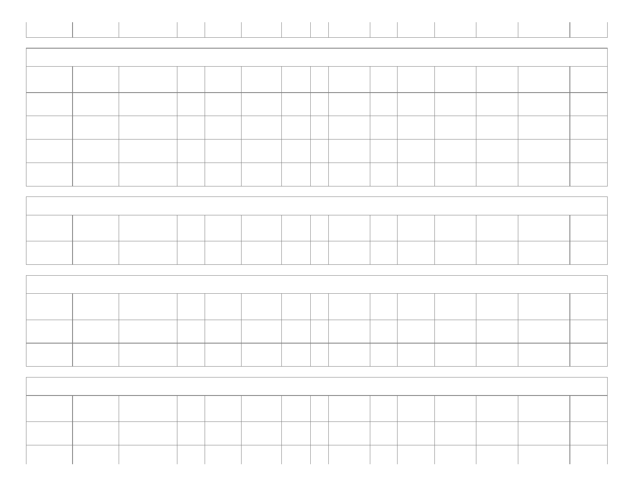|  |  |  | R<br>.<br>. .<br>.<br>$\sim$ $\sim$ $\sim$ |  | .<br>1 I R<br>. . |  |  |  |
|--|--|--|--------------------------------------------|--|-------------------|--|--|--|
|  |  |  |                                            |  |                   |  |  |  |

|                |                                                                                                                                                                        |  |                                |  | 6PDOO *URXS a 8OWLPDWH a -XQLRU a                   |  |                                                                        |  |  |
|----------------|------------------------------------------------------------------------------------------------------------------------------------------------------------------------|--|--------------------------------|--|-----------------------------------------------------|--|------------------------------------------------------------------------|--|--|
|                | $3/$ 8 (0 (17 <sub>3</sub> /\$8 <sub>8</sub> (0 (17 <sub>5</sub> /\$5287,1(7,76(8.25)(175 <sub>5</sub> 678',2<br>1\\ 0 (175 <sub>8</sub> 7(*25 <sub>3</sub> /\$678',2) |  |                                |  |                                                     |  |                                                                        |  |  |
| $7 +$          | 30DWLQX28 0\$'(0)                                                                                                                                                      |  | -XVW 'DQFLQ<br>'DQFH<br>6WXGLR |  |                                                     |  | + LS + RS $_{\text{LIR XIS}}^{\text{6PDQQ}}$ 8 O W L P D W H X Q L R U |  |  |
| 5'             | $30DWLQXP6+, 21, 67$                                                                                                                                                   |  | -XVW 'DQFLQ<br>'DQFH<br>6WXGLR |  | $-D$ ]]                                             |  | <sup>6</sup> PDOO <sub>8</sub> OWLPDW+XQLRU                            |  |  |
| 1 <sup>1</sup> | $30DW L Q \times P (9(1 2")6$                                                                                                                                          |  | -XVW 'DQFLQ<br>'DQFH<br>6WXGLR |  | $ $ & RQWHPS RPD $\mathcal{O}_S$ & OWLP DW + KQLR U |  |                                                                        |  |  |
| 67             | $30DWLQ$ $8B1$ : $7+$ \$ + (;                                                                                                                                          |  | -XVW 'DQFLQ<br>'DQFH<br>6WXGLR |  | 7D S                                                |  |                                                                        |  |  |

|    |                  |                                                                                                                                                                                                                                                                                                                                                |  |                                        |  | 6PDOO *URXS a 8DHWQ PaDWH a 7 |  |  |  |
|----|------------------|------------------------------------------------------------------------------------------------------------------------------------------------------------------------------------------------------------------------------------------------------------------------------------------------------------------------------------------------|--|----------------------------------------|--|-------------------------------|--|--|--|
|    |                  | $3/5 & 0(173/58)(0(175287,1(7,\frac{1}{16825}(\frac{678}{150}(\frac{2}{150}(\frac{678}{150}(\frac{2}{8}(\frac{678}{150}(\frac{2}{15}(\frac{678}{150}(\frac{2}{15}(\frac{678}{150}(\frac{2}{15}(\frac{6}{15}(\frac{6}{15}(\frac{6}{15}(\frac{6}{15}(\frac{6}{15}(\frac{6}{15}(\frac{6}{15}(\frac{6}{15}(\frac{6}{15}(\frac{6}{15}(\frac{6}{15}$ |  |                                        |  |                               |  |  |  |
| 67 | +LJK 3ODW-L6QXP7 |                                                                                                                                                                                                                                                                                                                                                |  | 7KH 6SDFH DW<br>3 U R M H F W<br>'DQFH |  | │&RQWHP\$R\$HRWS8OWLPDWEHHQ   |  |  |  |

|    |                                                                                                                                                                                                                              |  |                                      |  | /DUJH *URXS a & RP SHHHWQL&W LYH a 7 |  |                                                                                                                                                                                                                                                                                                                                                                                                                                                                            |  |  |
|----|------------------------------------------------------------------------------------------------------------------------------------------------------------------------------------------------------------------------------|--|--------------------------------------|--|--------------------------------------|--|----------------------------------------------------------------------------------------------------------------------------------------------------------------------------------------------------------------------------------------------------------------------------------------------------------------------------------------------------------------------------------------------------------------------------------------------------------------------------|--|--|
|    | $3/ \$\& (0.0173)_{3/ \$\& (0.0175287,1(7,76)(8.25)(175\times 678',2 678',2 678',16857(*25\times 678',2 678',2 678'')1\& 2' (175\times 676\times 676\times 6767\times 3(100\times 678'')7\times 3(100\times 678'')7\times 3$ |  |                                      |  |                                      |  |                                                                                                                                                                                                                                                                                                                                                                                                                                                                            |  |  |
|    | $30DWLQ$ & 267 7 $\bar{4}$ \$                                                                                                                                                                                                |  | 7RQ/DV<br><b>SFDGHP\RIO</b><br>'DOFH |  |                                      |  | $-D$ ]] $\begin{array}{c} \begin{array}{c} \end{array}$ $\begin{array}{c} \end{array}$ $\begin{array}{c} \end{array}$ $\begin{array}{c} \end{array}$ $\begin{array}{c} \end{array}$ $\begin{array}{c} \end{array}$ $\begin{array}{c} \end{array}$ $\begin{array}{c} \end{array}$ $\begin{array}{c} \end{array}$ $\begin{array}{c} \end{array}$ $\begin{array}{c} \end{array}$ $\begin{array}{c} \end{array}$ $\begin{array}{c} \end{array}$ $\begin{array}{c} \end{array}$ |  |  |
| 67 | + L J K 3 O D $\sqrt{\frac{36}{5}}Q(\frac{7}{5})$ , 1 7 1 2                                                                                                                                                                  |  | 7RQ\DV<br><b>SFDGHP\RIO</b><br>'DQFH |  |                                      |  | + LS + RS $/$ D U JH <sub>2</sub> R P S H W L W TH HHQ                                                                                                                                                                                                                                                                                                                                                                                                                     |  |  |

|       |                                                                                                                                                                                                                                                                                                                                                                                                                                                                          |                                                                                                                   |                                        |  |         |           |                                                                      | /DUJH *URXS a 3HUIRUPDQFH a 3HWLWH a |    |
|-------|--------------------------------------------------------------------------------------------------------------------------------------------------------------------------------------------------------------------------------------------------------------------------------------------------------------------------------------------------------------------------------------------------------------------------------------------------------------------------|-------------------------------------------------------------------------------------------------------------------|----------------------------------------|--|---------|-----------|----------------------------------------------------------------------|--------------------------------------|----|
|       |                                                                                                                                                                                                                                                                                                                                                                                                                                                                          | $3/3 \& (0.173)(3 \& (0.175287,1(-7.76825)(175287,1(-7.76825)(175256)(1752566))\times 10^{-3} (1752)(1752566)$    |                                        |  |         |           |                                                                      |                                      |    |
|       | +LJK *R $\left  \bigcirc \frac{7}{5} \bigcirc \frac{1}{1} \bigcirc \frac{7}{1} \bigcirc \frac{2}{5} \bigcirc \frac{5}{1} \bigcirc \frac{1}{1} \bigcirc \frac{1}{1} \bigcirc \frac{2}{1} \bigcirc \frac{3}{1} \bigcirc \frac{1}{1} \bigcirc \frac{1}{1} \bigcirc \frac{3}{1} \bigcirc \frac{4}{1} \bigcirc \frac{1}{1} \bigcirc \frac{1}{1} \bigcirc \frac{3}{1} \bigcirc \frac{4}{1} \bigcirc \frac{1}{1} \bigcirc \frac{1}{1} \bigcirc \frac{4}{1} \bigcirc \frac{3}{1$ |                                                                                                                   | , Q OR W L R Q<br>'DQFH<br>& H Q W H U |  |         |           | $\sqrt{U}$ ULFD $O_{*IIR}^{D}$ UJH <sub>3</sub> HUIRU PD Q3FHMV LW H |                                      |    |
| 67    | + L J K * R D%G(/, (9 ( 7 7 \$                                                                                                                                                                                                                                                                                                                                                                                                                                           |                                                                                                                   | $Q$ ORWLRQ <sup>*</sup><br>'DOFH       |  | $-D$ ]] | * U R XIS | /DUJ H3HUIRUPDQ3FHHWLWH                                              |                                      |    |
| KWWSV |                                                                                                                                                                                                                                                                                                                                                                                                                                                                          | XOCWDDFDHWFRIMORUXHLOLH FRP DOFEKLODPWRLGBX100SHFNPOSFBWOHLDERSORRUW 5HSRURWS6WHSHXO2WMHURDUO6OW7XGLRV ORFDWLRQ,G |                                        |  |         |           |                                                                      |                                      | ķF |